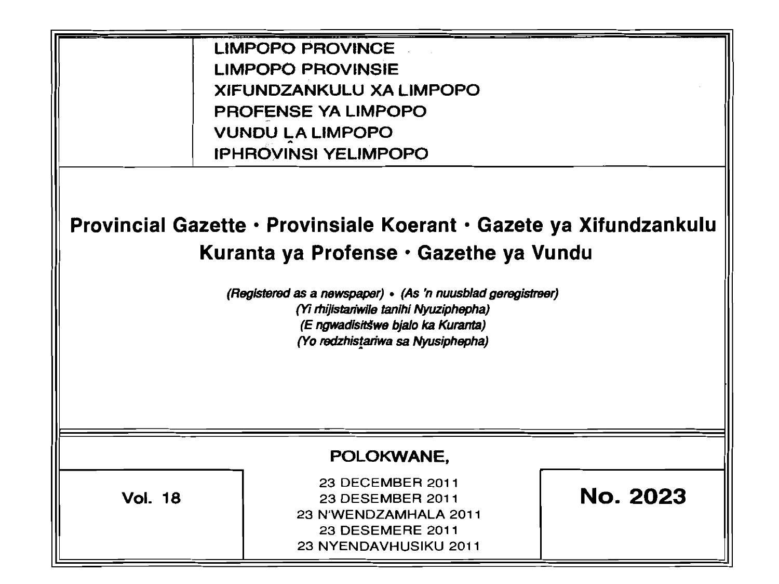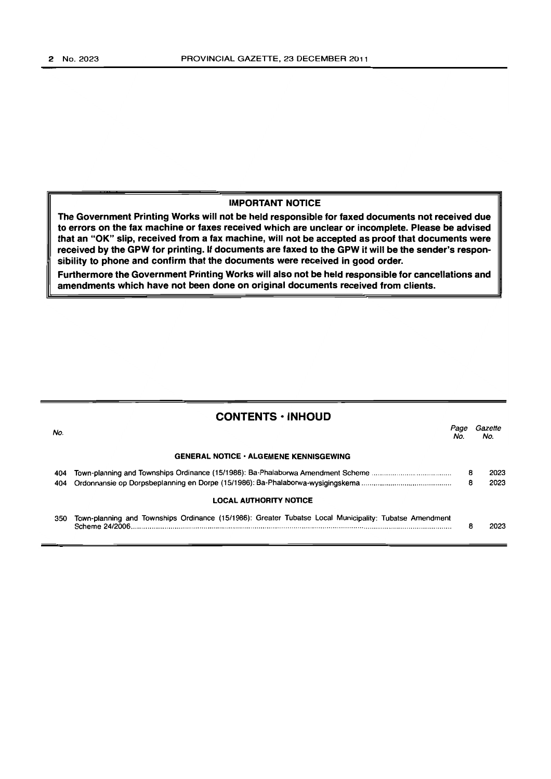### **IMPORTANT NOTICE**

**The Government Printing Works will not be held responsible for faxed documents not received due to errors on the fax machine or faxes received which are unclear or incomplete. Please be advised that an "OK" slip, received from a fax machine, will not be accepted as proof that documents were received by the GPW for printing. If documents are faxed to the GPW it will be the sender's responsibility to phone and confirm that the documents were received in good order.** 

**Furthermore the Government Printing Works will also not be held responsible for cancellations and amendments which have not been done on original documents received from clients.** 

| <b>CONTENTS · INHOUD</b>                      |                                                                                                                           |             |                |  |  |
|-----------------------------------------------|---------------------------------------------------------------------------------------------------------------------------|-------------|----------------|--|--|
| No.                                           |                                                                                                                           | Page<br>No. | Gazette<br>No. |  |  |
| <b>GENERAL NOTICE · ALGEMENE KENNISGEWING</b> |                                                                                                                           |             |                |  |  |
| 404                                           | Town-planning and Townships Ordinance (15/1986): Ba-Phalaborwa Amendment Scheme                                           | 8           | 2023           |  |  |
| 404                                           |                                                                                                                           | 8           | 2023           |  |  |
| <b>LOCAL AUTHORITY NOTICE</b>                 |                                                                                                                           |             |                |  |  |
| 350                                           | Town-planning and Townships Ordinance (15/1986): Greater Tubatse Local Municipality: Tubatse Amendment<br>Scheme 24/2006. | 8           | 2023           |  |  |
|                                               |                                                                                                                           |             |                |  |  |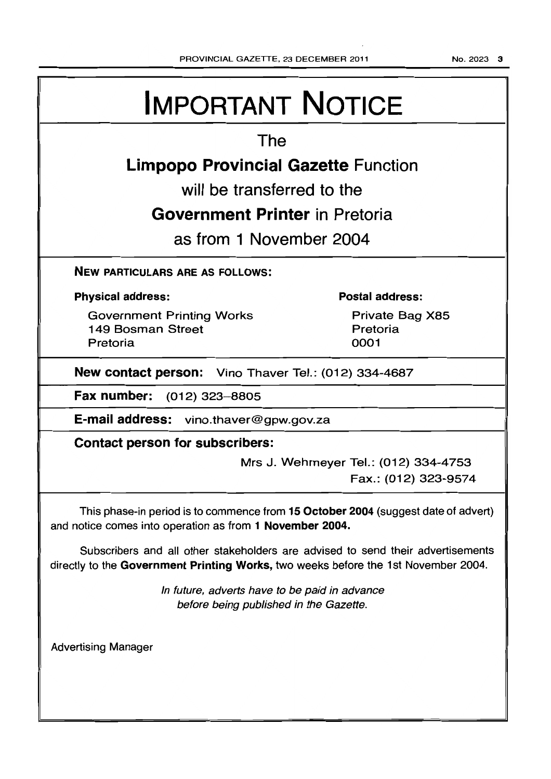# **IMPORTANT NOTICE**

## **The**

# **Limpopo Provincial Gazette Function**

**will be transferred to the** 

# **Government Printer in Pretoria**

**as from 1 November 2004** 

**NEW PARTICULARS ARE AS FOLLOWS:** 

### **Physical address:**

Government Printing Works 1 49 Bosman Street Pretoria

### **Postal address:**

Private Bag X85 Pretoria 0001

**New contact person:** Vino Thaver Tel.: (012) 334-4687

**Fax number:** (012) 323-8805

**E-mail address:** vino.thaver@gpw.gov.za

**Contact person for subscribers:** 

Mrs J. Wehmeyer Tel.: (012) 334-4753 Fax.: (012) 323-9574

This phase-in period is to commence from **15 October 2004** (suggest date of advert) and notice comes into operation as from 1 November 2004.

Subscribers and all other stakeholders are advised to send their advertisements directly to the **Government Printing Works,** two weeks before the 1 st November 2004.

> In future, adverts have to be paid in advance before being published in the Gazette.

Advertising Manager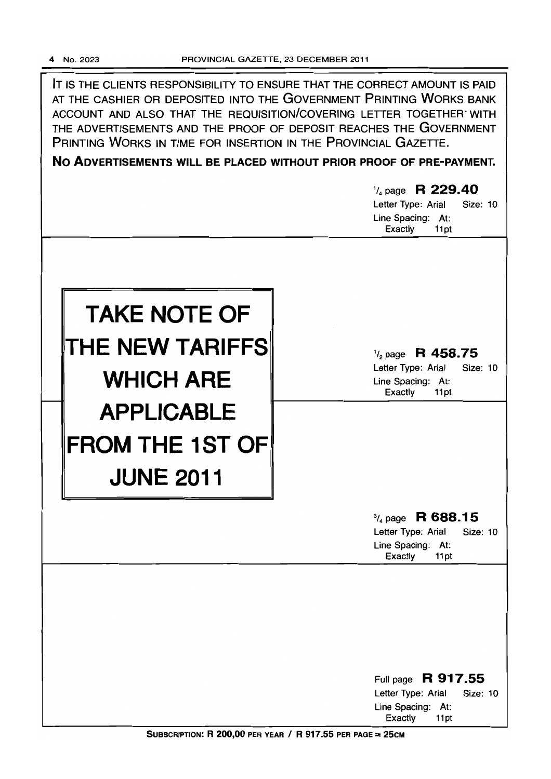IT IS THE CLIENTS RESPONSIBILITY TO ENSURE THAT THE CORRECT AMOUNT IS PAID AT THE CASHIER OR DEPOSITED INTO THE GOVERNMENT PRINTING WORKS BANK ACCOUNT AND ALSO THAT THE REQUISITION/COVERING LETTER TOGETHER WITH THE ADVERTISEMENTS AND THE PROOF OF DEPOSIT REACHES THE GOVERNMENT PRINTING WORKS IN TIME FOR INSERTION IN THE PROVINCIAL GAZETTE.

**No ADVERTISEMENTS WILL BE PLACED WITHOUT PRIOR PROOF OF PRE-PAYMENT.** 

|                                                                 | $\frac{1}{4}$ page R 229.40<br>Letter Type: Arial<br><b>Size: 10</b><br>Line Spacing: At:<br>Exactly<br>11pt |
|-----------------------------------------------------------------|--------------------------------------------------------------------------------------------------------------|
| <b>TAKE NOTE OF</b><br>THE NEW TARIFFS<br><b>WHICH ARE</b>      | $\frac{1}{2}$ page R 458.75<br>Letter Type: Arial<br>Size: 10<br>Line Spacing: At:<br>Exactly<br>11pt        |
| <b>APPLICABLE</b><br><b>FROM THE 1ST OF</b><br><b>JUNE 2011</b> |                                                                                                              |
|                                                                 | $\frac{3}{4}$ page R 688.15<br>Letter Type: Arial<br><b>Size: 10</b><br>Line Spacing: At:<br>Exactly<br>11pt |
|                                                                 | Full page R 917.55<br>Letter Type: Arial<br><b>Size: 10</b><br>Line Spacing:<br>At:<br>Exactly<br>11pt       |

SUBSCRIPTION: R 200,00 PER YEAR / R 917.55 PER PAGE = 25CM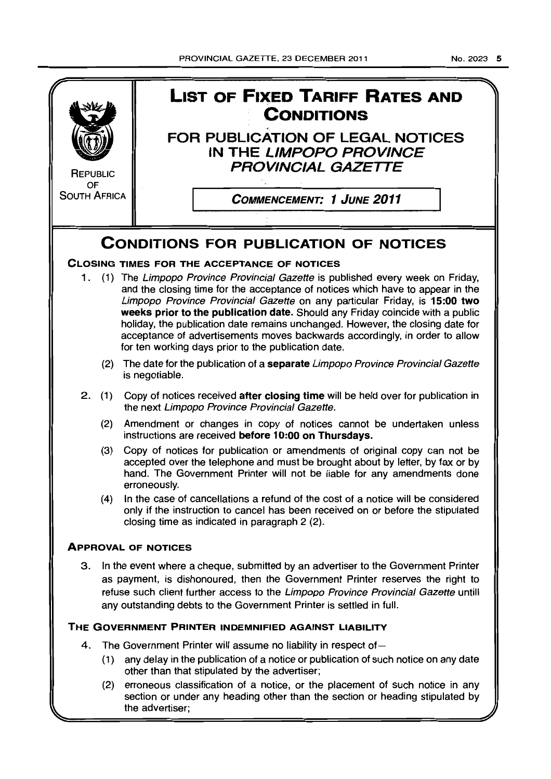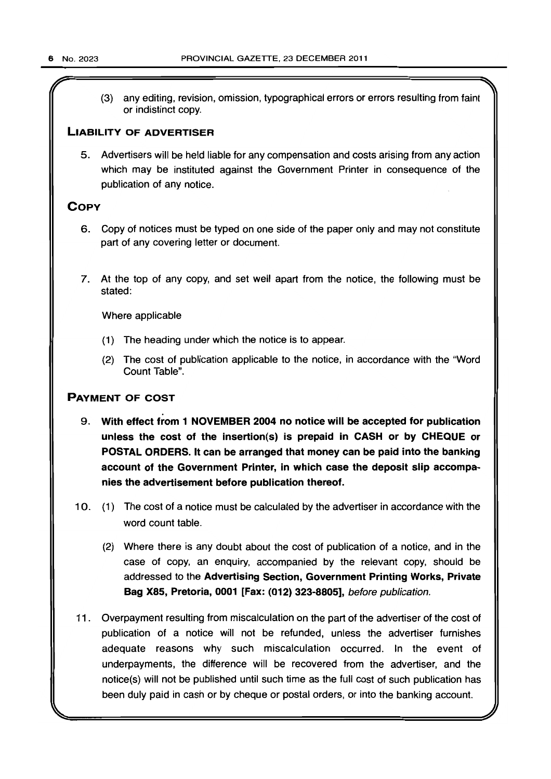(3) any editing, revision, omission, typographical errors or errors resulting from faint or indistinct copy.

### LIABILITY OF ADVERTISER

5. Advertisers will be held liable for any compensation and costs arising from any action which may be instituted against the Government Printer in consequence of the publication of any notice.

### **COPY**

- 6. Copy of notices must be typed on one side of the paper only and may not constitute part of any covering letter or document.
- 7. At the top of any copy, and set well apart from the notice, the following must be stated:

Where applicable

- (1) The heading under which the notice is to appear.
- (2) The cost of publication applicable to the notice, in accordance with the "Word Count Table".

### PAYMENT OF COST

- . 9. With effect from 1 NOVEMBER 2004 no notice will be accepted for publication unless the cost of the insertion(s) is prepaid in CASH or by CHEQUE or POSTAL ORDERS. It can be arranged that money can be paid into the banking account of the Government Printer, in which case the deposit slip accompanies the advertisement before publication thereof.
- 10. (1) The cost of a notice must be calculated by the advertiser in accordance with the word count table.
	- (2) Where there is any doubt about the cost of publication of a notice, and in the case of copy, an enquiry, accompanied by the relevant copy, should be addressed to the Advertising Section, Government Printing Works, Private Bag X85, Pretoria, 0001 [Fax: (012) 323-8805], before publication.
- 11 . Overpayment resulting from miscalculation on the part of the advertiser of the cost of publication of a notice will not be refunded, unless the advertiser furnishes adequate reasons why such miscalculation occurred. In the event of underpayments, the difference will be recovered from the advertiser, and the notice(s) will not be published until such time as the full cost of such publication has been duly paid in cash or by cheque or postal orders, or into the banking account.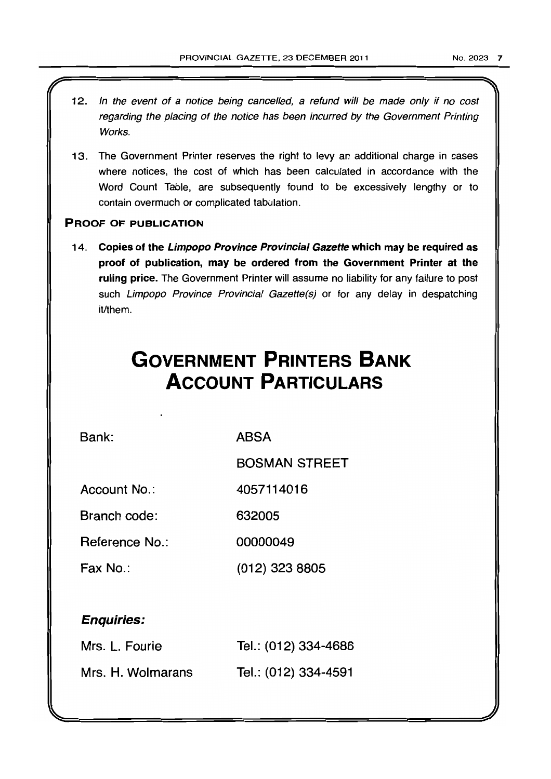- 12. In the event of a notice being cancelled, a refund will be made only if no cost regarding the placing of the notice has been incurred by the Government Printing Works.
- 13. The Government Printer reserves the right to levy an additional charge in cases where notices, the cost of which has been calculated in accordance with the Word Count Table, are subsequently found to be excessively lengthy or to contain overmuch or complicated tabulation.

### PROOF OF PUBLICATION

14. Copies of the Limpopo Province Provincial Gazette which may be required as proof of publication, may be ordered from the Government Printer at the ruling price. The Government Printer will assume no liability for any failure to post such Limpopo Province Provincial Gazette(s) or for any delay in despatching it/them.

# **GOVERNMENT PRINTERS BANK ACCOUNT PARTICULARS**

Bank:

ABSA

BOSMAN STREET

Account No.: 4057114016

Branch code: 632005

Reference No.: 00000049

Fax No.: (012) 323 8805

### Enquiries:

| Mrs. L. Fourie    | Tel.: (012) 334-4686 |
|-------------------|----------------------|
| Mrs. H. Wolmarans | Tel.: (012) 334-4591 |